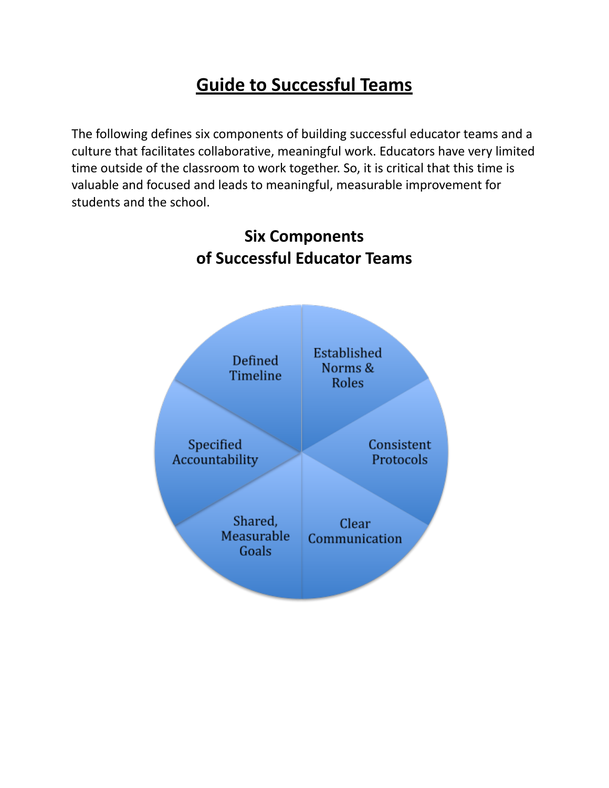# **Guide to Successful Teams**

The following defines six components of building successful educator teams and a culture that facilitates collaborative, meaningful work. Educators have very limited time outside of the classroom to work together. So, it is critical that this time is valuable and focused and leads to meaningful, measurable improvement for students and the school.



# **Six Components of Successful Educator Teams**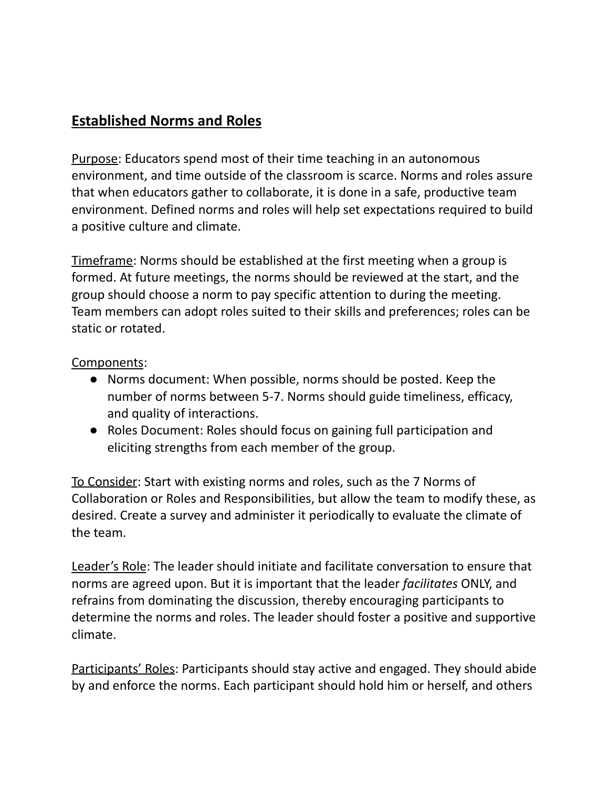### **Established Norms and Roles**

Purpose: Educators spend most of their time teaching in an autonomous environment, and time outside of the classroom is scarce. Norms and roles assure that when educators gather to collaborate, it is done in a safe, productive team environment. Defined norms and roles will help set expectations required to build a positive culture and climate.

Timeframe: Norms should be established at the first meeting when a group is formed. At future meetings, the norms should be reviewed at the start, and the group should choose a norm to pay specific attention to during the meeting. Team members can adopt roles suited to their skills and preferences; roles can be static or rotated.

#### Components:

- Norms document: When possible, norms should be posted. Keep the number of norms between 5-7. Norms should guide timeliness, efficacy, and quality of interactions.
- Roles Document: Roles should focus on gaining full participation and eliciting strengths from each member of the group.

To Consider: Start with existing norms and roles, such as the 7 Norms of Collaboration or Roles and Responsibilities, but allow the team to modify these, as desired. Create a survey and administer it periodically to evaluate the climate of the team.

Leader's Role: The leader should initiate and facilitate conversation to ensure that norms are agreed upon. But it is important that the leader *facilitates* ONLY, and refrains from dominating the discussion, thereby encouraging participants to determine the norms and roles. The leader should foster a positive and supportive climate.

Participants' Roles: Participants should stay active and engaged. They should abide by and enforce the norms. Each participant should hold him or herself, and others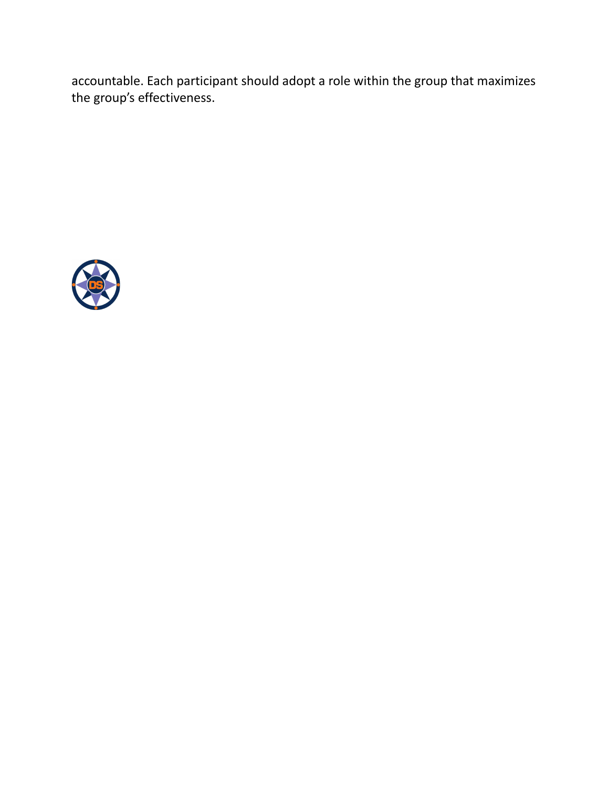accountable. Each participant should adopt a role within the group that maximizes the group's effectiveness.

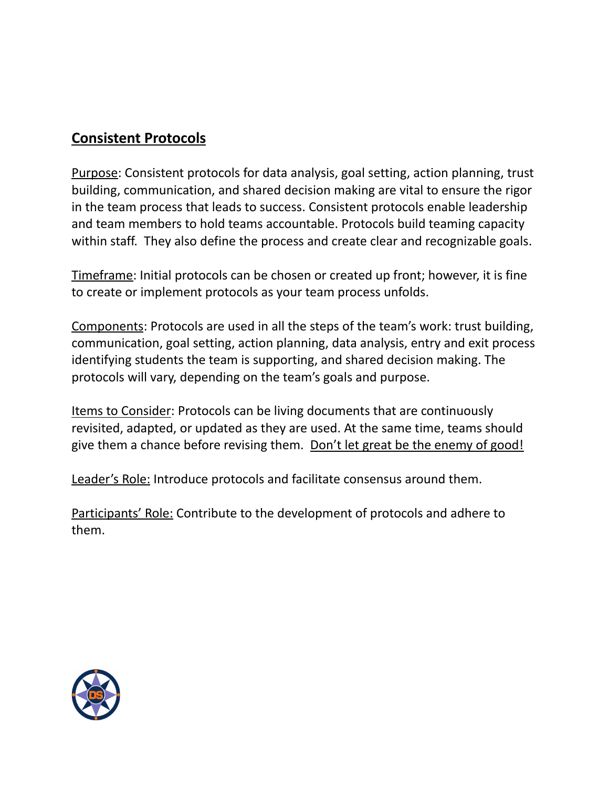#### **Consistent Protocols**

Purpose: Consistent protocols for data analysis, goal setting, action planning, trust building, communication, and shared decision making are vital to ensure the rigor in the team process that leads to success. Consistent protocols enable leadership and team members to hold teams accountable. Protocols build teaming capacity within staff. They also define the process and create clear and recognizable goals.

Timeframe: Initial protocols can be chosen or created up front; however, it is fine to create or implement protocols as your team process unfolds.

Components: Protocols are used in all the steps of the team's work: trust building, communication, goal setting, action planning, data analysis, entry and exit process identifying students the team is supporting, and shared decision making. The protocols will vary, depending on the team's goals and purpose.

Items to Consider: Protocols can be living documents that are continuously revisited, adapted, or updated as they are used. At the same time, teams should give them a chance before revising them. Don't let great be the enemy of good!

Leader's Role: Introduce protocols and facilitate consensus around them.

Participants' Role: Contribute to the development of protocols and adhere to them.

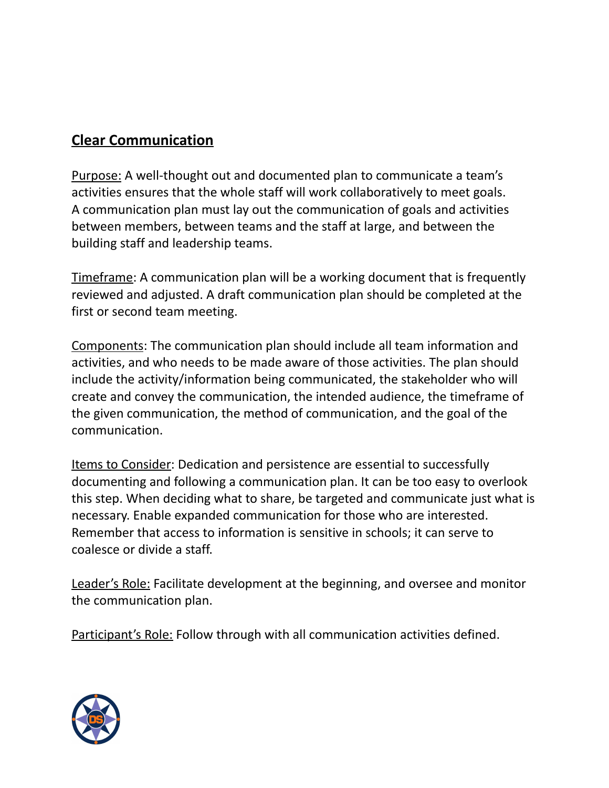# **Clear Communication**

Purpose: A well-thought out and documented plan to communicate a team's activities ensures that the whole staff will work collaboratively to meet goals. A communication plan must lay out the communication of goals and activities between members, between teams and the staff at large, and between the building staff and leadership teams.

Timeframe: A communication plan will be a working document that is frequently reviewed and adjusted. A draft communication plan should be completed at the first or second team meeting.

Components: The communication plan should include all team information and activities, and who needs to be made aware of those activities. The plan should include the activity/information being communicated, the stakeholder who will create and convey the communication, the intended audience, the timeframe of the given communication, the method of communication, and the goal of the communication.

Items to Consider: Dedication and persistence are essential to successfully documenting and following a communication plan. It can be too easy to overlook this step. When deciding what to share, be targeted and communicate just what is necessary. Enable expanded communication for those who are interested. Remember that access to information is sensitive in schools; it can serve to coalesce or divide a staff.

Leader's Role: Facilitate development at the beginning, and oversee and monitor the communication plan.

Participant's Role: Follow through with all communication activities defined.

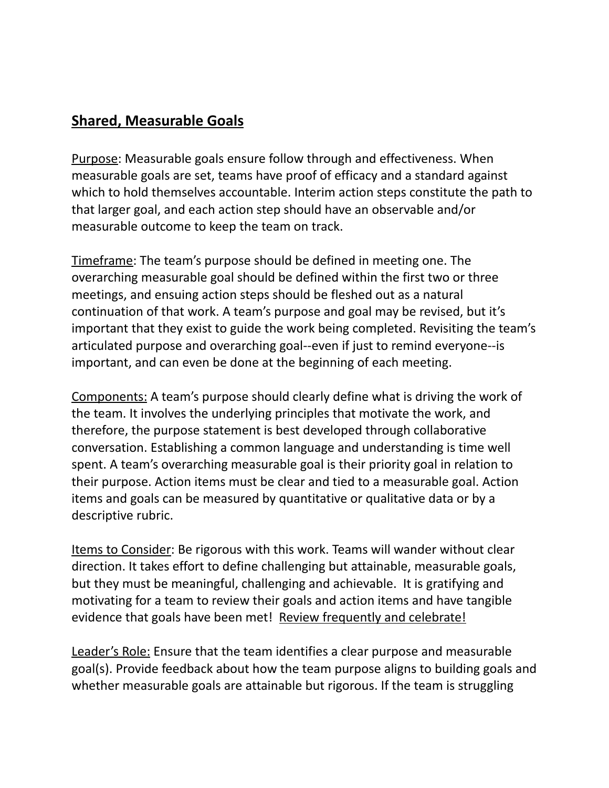#### **Shared, Measurable Goals**

Purpose: Measurable goals ensure follow through and effectiveness. When measurable goals are set, teams have proof of efficacy and a standard against which to hold themselves accountable. Interim action steps constitute the path to that larger goal, and each action step should have an observable and/or measurable outcome to keep the team on track.

Timeframe: The team's purpose should be defined in meeting one. The overarching measurable goal should be defined within the first two or three meetings, and ensuing action steps should be fleshed out as a natural continuation of that work. A team's purpose and goal may be revised, but it's important that they exist to guide the work being completed. Revisiting the team's articulated purpose and overarching goal--even if just to remind everyone--is important, and can even be done at the beginning of each meeting.

Components: A team's purpose should clearly define what is driving the work of the team. It involves the underlying principles that motivate the work, and therefore, the purpose statement is best developed through collaborative conversation. Establishing a common language and understanding is time well spent. A team's overarching measurable goal is their priority goal in relation to their purpose. Action items must be clear and tied to a measurable goal. Action items and goals can be measured by quantitative or qualitative data or by a descriptive rubric.

Items to Consider: Be rigorous with this work. Teams will wander without clear direction. It takes effort to define challenging but attainable, measurable goals, but they must be meaningful, challenging and achievable. It is gratifying and motivating for a team to review their goals and action items and have tangible evidence that goals have been met! Review frequently and celebrate!

Leader's Role: Ensure that the team identifies a clear purpose and measurable goal(s). Provide feedback about how the team purpose aligns to building goals and whether measurable goals are attainable but rigorous. If the team is struggling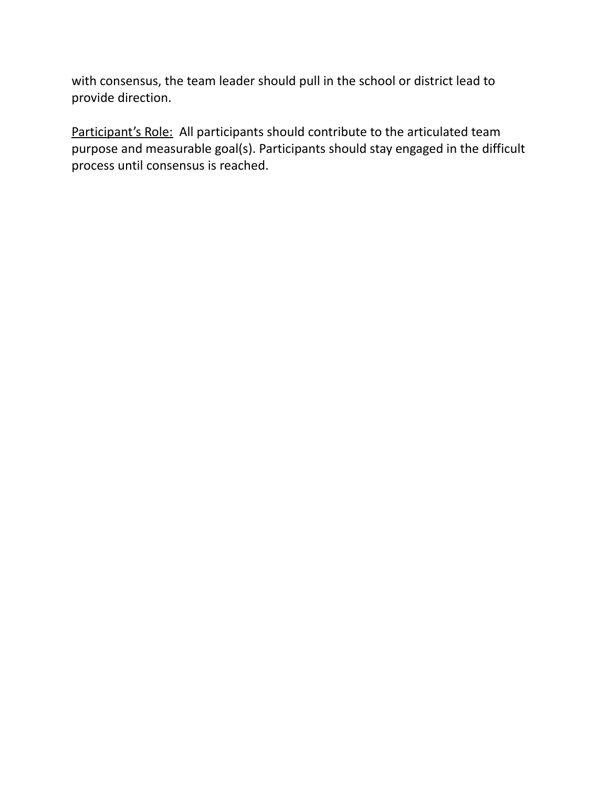with consensus, the team leader should pull in the school or district lead to provide direction.

Participant's Role: All participants should contribute to the articulated team purpose and measurable goal(s). Participants should stay engaged in the difficult process until consensus is reached.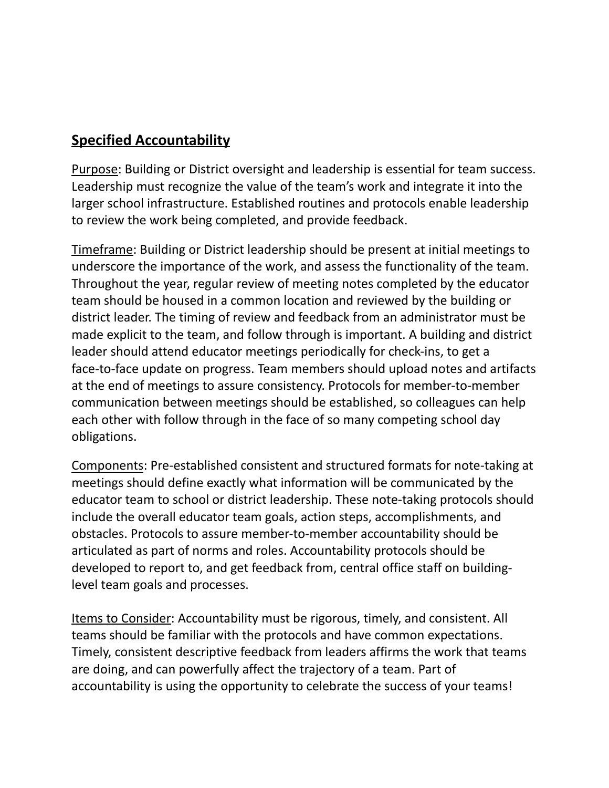## **Specified Accountability**

Purpose: Building or District oversight and leadership is essential for team success. Leadership must recognize the value of the team's work and integrate it into the larger school infrastructure. Established routines and protocols enable leadership to review the work being completed, and provide feedback.

Timeframe: Building or District leadership should be present at initial meetings to underscore the importance of the work, and assess the functionality of the team. Throughout the year, regular review of meeting notes completed by the educator team should be housed in a common location and reviewed by the building or district leader. The timing of review and feedback from an administrator must be made explicit to the team, and follow through is important. A building and district leader should attend educator meetings periodically for check-ins, to get a face-to-face update on progress. Team members should upload notes and artifacts at the end of meetings to assure consistency. Protocols for member-to-member communication between meetings should be established, so colleagues can help each other with follow through in the face of so many competing school day obligations.

Components: Pre-established consistent and structured formats for note-taking at meetings should define exactly what information will be communicated by the educator team to school or district leadership. These note-taking protocols should include the overall educator team goals, action steps, accomplishments, and obstacles. Protocols to assure member-to-member accountability should be articulated as part of norms and roles. Accountability protocols should be developed to report to, and get feedback from, central office staff on buildinglevel team goals and processes.

Items to Consider: Accountability must be rigorous, timely, and consistent. All teams should be familiar with the protocols and have common expectations. Timely, consistent descriptive feedback from leaders affirms the work that teams are doing, and can powerfully affect the trajectory of a team. Part of accountability is using the opportunity to celebrate the success of your teams!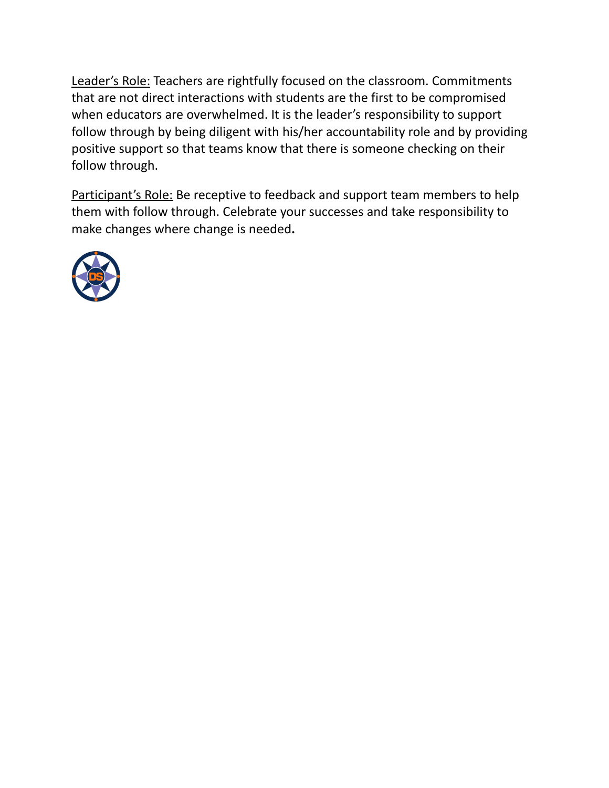Leader's Role: Teachers are rightfully focused on the classroom. Commitments that are not direct interactions with students are the first to be compromised when educators are overwhelmed. It is the leader's responsibility to support follow through by being diligent with his/her accountability role and by providing positive support so that teams know that there is someone checking on their follow through.

Participant's Role: Be receptive to feedback and support team members to help them with follow through. Celebrate your successes and take responsibility to make changes where change is needed**.**